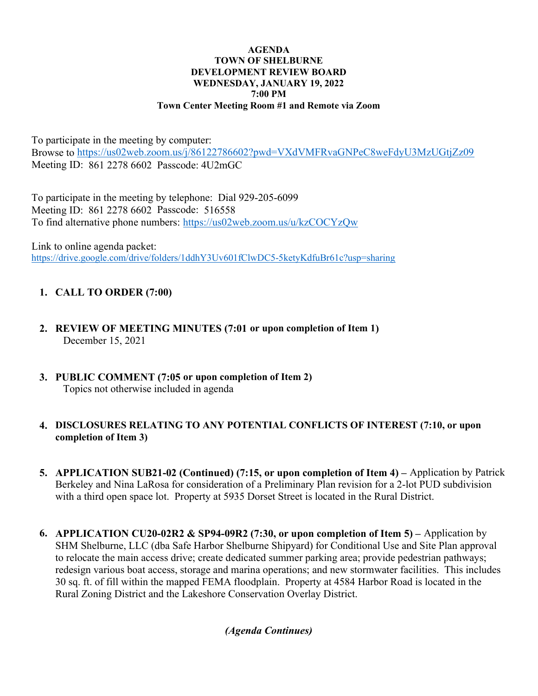#### AGENDA TOWN OF SHELBURNE DEVELOPMENT REVIEW BOARD WEDNESDAY, JANUARY 19, 2022 7:00 PM Town Center Meeting Room #1 and Remote via Zoom

To participate in the meeting by computer: Browse to https://us02web.zoom.us/j/86122786602?pwd=VXdVMFRvaGNPeC8weFdyU3MzUGtjZz09 Meeting ID: 861 2278 6602 Passcode: 4U2mGC

To participate in the meeting by telephone: Dial 929-205-6099 Meeting ID: 861 2278 6602 Passcode: 516558 To find alternative phone numbers: https://us02web.zoom.us/u/kzCOCYzQw

Link to online agenda packet: https://drive.google.com/drive/folders/1ddhY3Uv601fClwDC5-5ketyKdfuBr61c?usp=sharing

# 1. CALL TO ORDER (7:00)

- 2. REVIEW OF MEETING MINUTES (7:01 or upon completion of Item 1) December 15, 2021
- 3. PUBLIC COMMENT (7:05 or upon completion of Item 2) Topics not otherwise included in agenda

## 4. DISCLOSURES RELATING TO ANY POTENTIAL CONFLICTS OF INTEREST (7:10, or upon completion of Item 3)

- 5. APPLICATION SUB21-02 (Continued) (7:15, or upon completion of Item 4) Application by Patrick Berkeley and Nina LaRosa for consideration of a Preliminary Plan revision for a 2-lot PUD subdivision with a third open space lot. Property at 5935 Dorset Street is located in the Rural District.
- 6. APPLICATION CU20-02R2 & SP94-09R2 (7:30, or upon completion of Item 5) Application by SHM Shelburne, LLC (dba Safe Harbor Shelburne Shipyard) for Conditional Use and Site Plan approval to relocate the main access drive; create dedicated summer parking area; provide pedestrian pathways; redesign various boat access, storage and marina operations; and new stormwater facilities. This includes 30 sq. ft. of fill within the mapped FEMA floodplain. Property at 4584 Harbor Road is located in the Rural Zoning District and the Lakeshore Conservation Overlay District.

(Agenda Continues)